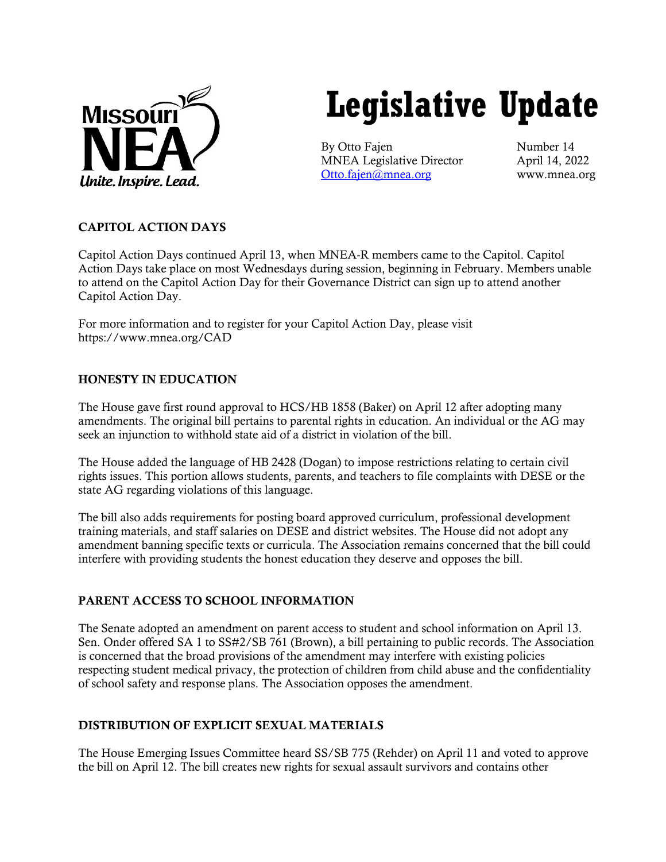

# **Legislative Update**

By Otto Fajen Number 14 MNEA Legislative Director April 14, 2022 [Otto.fajen@mnea.org](mailto:Otto.fajen@mnea.org) www.mnea.org

# CAPITOL ACTION DAYS

Capitol Action Days continued April 13, when MNEA-R members came to the Capitol. Capitol Action Days take place on most Wednesdays during session, beginning in February. Members unable to attend on the Capitol Action Day for their Governance District can sign up to attend another Capitol Action Day.

For more information and to register for your Capitol Action Day, please visit https://www.mnea.org/CAD

## HONESTY IN EDUCATION

The House gave first round approval to HCS/HB 1858 (Baker) on April 12 after adopting many amendments. The original bill pertains to parental rights in education. An individual or the AG may seek an injunction to withhold state aid of a district in violation of the bill.

The House added the language of HB 2428 (Dogan) to impose restrictions relating to certain civil rights issues. This portion allows students, parents, and teachers to file complaints with DESE or the state AG regarding violations of this language.

The bill also adds requirements for posting board approved curriculum, professional development training materials, and staff salaries on DESE and district websites. The House did not adopt any amendment banning specific texts or curricula. The Association remains concerned that the bill could interfere with providing students the honest education they deserve and opposes the bill.

## PARENT ACCESS TO SCHOOL INFORMATION

The Senate adopted an amendment on parent access to student and school information on April 13. Sen. Onder offered SA 1 to SS#2/SB 761 (Brown), a bill pertaining to public records. The Association is concerned that the broad provisions of the amendment may interfere with existing policies respecting student medical privacy, the protection of children from child abuse and the confidentiality of school safety and response plans. The Association opposes the amendment.

## DISTRIBUTION OF EXPLICIT SEXUAL MATERIALS

The House Emerging Issues Committee heard SS/SB 775 (Rehder) on April 11 and voted to approve the bill on April 12. The bill creates new rights for sexual assault survivors and contains other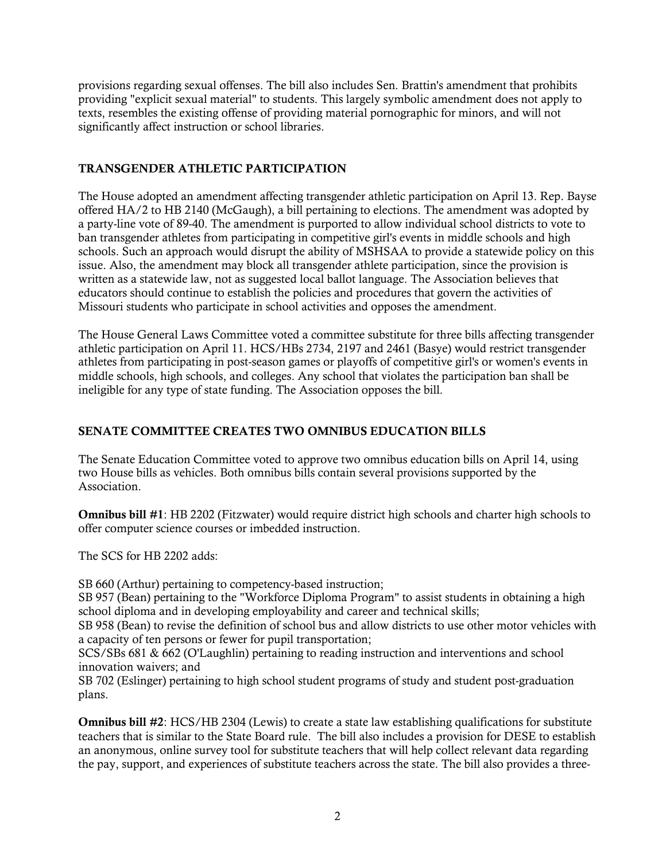provisions regarding sexual offenses. The bill also includes Sen. Brattin's amendment that prohibits providing "explicit sexual material" to students. This largely symbolic amendment does not apply to texts, resembles the existing offense of providing material pornographic for minors, and will not significantly affect instruction or school libraries.

## TRANSGENDER ATHLETIC PARTICIPATION

The House adopted an amendment affecting transgender athletic participation on April 13. Rep. Bayse offered HA/2 to HB 2140 (McGaugh), a bill pertaining to elections. The amendment was adopted by a party-line vote of 89-40. The amendment is purported to allow individual school districts to vote to ban transgender athletes from participating in competitive girl's events in middle schools and high schools. Such an approach would disrupt the ability of MSHSAA to provide a statewide policy on this issue. Also, the amendment may block all transgender athlete participation, since the provision is written as a statewide law, not as suggested local ballot language. The Association believes that educators should continue to establish the policies and procedures that govern the activities of Missouri students who participate in school activities and opposes the amendment.

The House General Laws Committee voted a committee substitute for three bills affecting transgender athletic participation on April 11. HCS/HBs 2734, 2197 and 2461 (Basye) would restrict transgender athletes from participating in post-season games or playoffs of competitive girl's or women's events in middle schools, high schools, and colleges. Any school that violates the participation ban shall be ineligible for any type of state funding. The Association opposes the bill.

## SENATE COMMITTEE CREATES TWO OMNIBUS EDUCATION BILLS

The Senate Education Committee voted to approve two omnibus education bills on April 14, using two House bills as vehicles. Both omnibus bills contain several provisions supported by the Association.

Omnibus bill #1: HB 2202 (Fitzwater) would require district high schools and charter high schools to offer computer science courses or imbedded instruction.

The SCS for HB 2202 adds:

SB 660 (Arthur) pertaining to competency-based instruction;

SB 957 (Bean) pertaining to the "Workforce Diploma Program" to assist students in obtaining a high school diploma and in developing employability and career and technical skills;

SB 958 (Bean) to revise the definition of school bus and allow districts to use other motor vehicles with a capacity of ten persons or fewer for pupil transportation;

SCS/SBs 681 & 662 (O'Laughlin) pertaining to reading instruction and interventions and school innovation waivers; and

SB 702 (Eslinger) pertaining to high school student programs of study and student post-graduation plans.

Omnibus bill #2: HCS/HB 2304 (Lewis) to create a state law establishing qualifications for substitute teachers that is similar to the State Board rule. The bill also includes a provision for DESE to establish an anonymous, online survey tool for substitute teachers that will help collect relevant data regarding the pay, support, and experiences of substitute teachers across the state. The bill also provides a three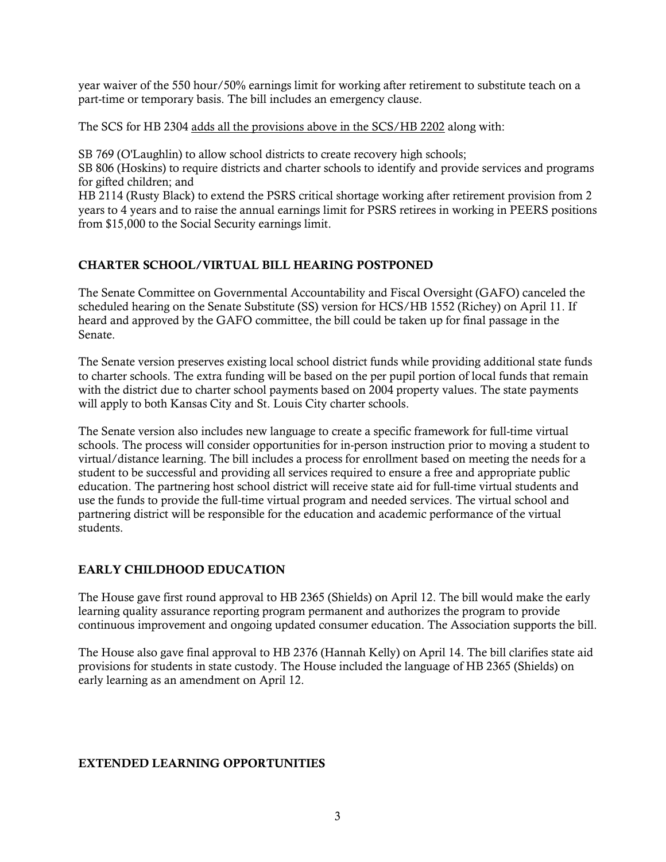year waiver of the 550 hour/50% earnings limit for working after retirement to substitute teach on a part-time or temporary basis. The bill includes an emergency clause.

The SCS for HB 2304 adds all the provisions above in the SCS/HB 2202 along with:

SB 769 (O'Laughlin) to allow school districts to create recovery high schools;

SB 806 (Hoskins) to require districts and charter schools to identify and provide services and programs for gifted children; and

HB 2114 (Rusty Black) to extend the PSRS critical shortage working after retirement provision from 2 years to 4 years and to raise the annual earnings limit for PSRS retirees in working in PEERS positions from \$15,000 to the Social Security earnings limit.

## CHARTER SCHOOL/VIRTUAL BILL HEARING POSTPONED

The Senate Committee on Governmental Accountability and Fiscal Oversight (GAFO) canceled the scheduled hearing on the Senate Substitute (SS) version for HCS/HB 1552 (Richey) on April 11. If heard and approved by the GAFO committee, the bill could be taken up for final passage in the Senate.

The Senate version preserves existing local school district funds while providing additional state funds to charter schools. The extra funding will be based on the per pupil portion of local funds that remain with the district due to charter school payments based on 2004 property values. The state payments will apply to both Kansas City and St. Louis City charter schools.

The Senate version also includes new language to create a specific framework for full-time virtual schools. The process will consider opportunities for in-person instruction prior to moving a student to virtual/distance learning. The bill includes a process for enrollment based on meeting the needs for a student to be successful and providing all services required to ensure a free and appropriate public education. The partnering host school district will receive state aid for full-time virtual students and use the funds to provide the full-time virtual program and needed services. The virtual school and partnering district will be responsible for the education and academic performance of the virtual students.

## EARLY CHILDHOOD EDUCATION

The House gave first round approval to HB 2365 (Shields) on April 12. The bill would make the early learning quality assurance reporting program permanent and authorizes the program to provide continuous improvement and ongoing updated consumer education. The Association supports the bill.

The House also gave final approval to HB 2376 (Hannah Kelly) on April 14. The bill clarifies state aid provisions for students in state custody. The House included the language of HB 2365 (Shields) on early learning as an amendment on April 12.

## EXTENDED LEARNING OPPORTUNITIES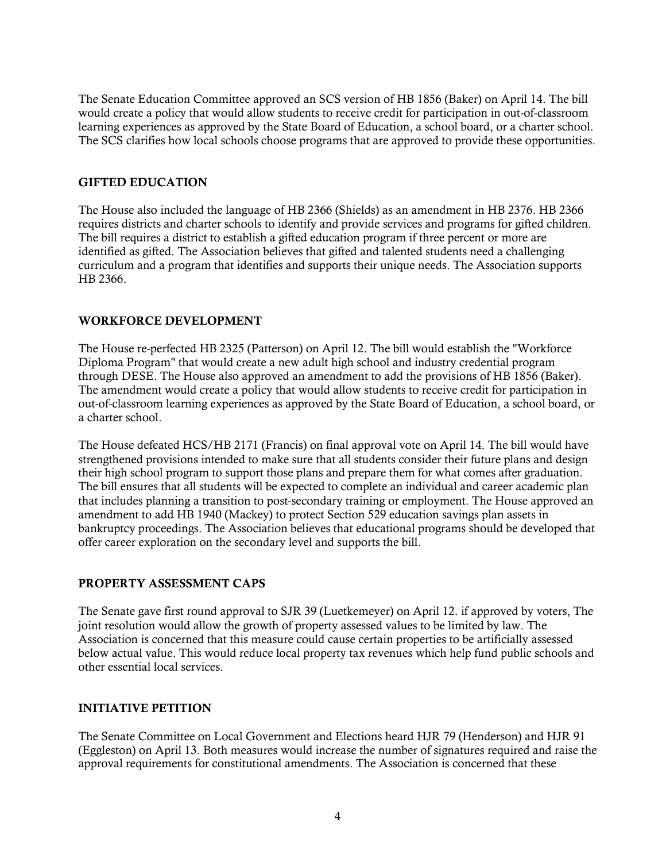The Senate Education Committee approved an SCS version of HB 1856 (Baker) on April 14. The bill would create a policy that would allow students to receive credit for participation in out-of-classroom learning experiences as approved by the State Board of Education, a school board, or a charter school. The SCS clarifies how local schools choose programs that are approved to provide these opportunities.

## GIFTED EDUCATION

The House also included the language of HB 2366 (Shields) as an amendment in HB 2376. HB 2366 requires districts and charter schools to identify and provide services and programs for gifted children. The bill requires a district to establish a gifted education program if three percent or more are identified as gifted. The Association believes that gifted and talented students need a challenging curriculum and a program that identifies and supports their unique needs. The Association supports HB 2366.

#### WORKFORCE DEVELOPMENT

The House re-perfected HB 2325 (Patterson) on April 12. The bill would establish the "Workforce Diploma Program" that would create a new adult high school and industry credential program through DESE. The House also approved an amendment to add the provisions of HB 1856 (Baker). The amendment would create a policy that would allow students to receive credit for participation in out-of-classroom learning experiences as approved by the State Board of Education, a school board, or a charter school.

The House defeated HCS/HB 2171 (Francis) on final approval vote on April 14. The bill would have strengthened provisions intended to make sure that all students consider their future plans and design their high school program to support those plans and prepare them for what comes after graduation. The bill ensures that all students will be expected to complete an individual and career academic plan that includes planning a transition to post-secondary training or employment. The House approved an amendment to add HB 1940 (Mackey) to protect Section 529 education savings plan assets in bankruptcy proceedings. The Association believes that educational programs should be developed that offer career exploration on the secondary level and supports the bill.

## PROPERTY ASSESSMENT CAPS

The Senate gave first round approval to SJR 39 (Luetkemeyer) on April 12. if approved by voters, The joint resolution would allow the growth of property assessed values to be limited by law. The Association is concerned that this measure could cause certain properties to be artificially assessed below actual value. This would reduce local property tax revenues which help fund public schools and other essential local services.

## INITIATIVE PETITION

The Senate Committee on Local Government and Elections heard HJR 79 (Henderson) and HJR 91 (Eggleston) on April 13. Both measures would increase the number of signatures required and raise the approval requirements for constitutional amendments. The Association is concerned that these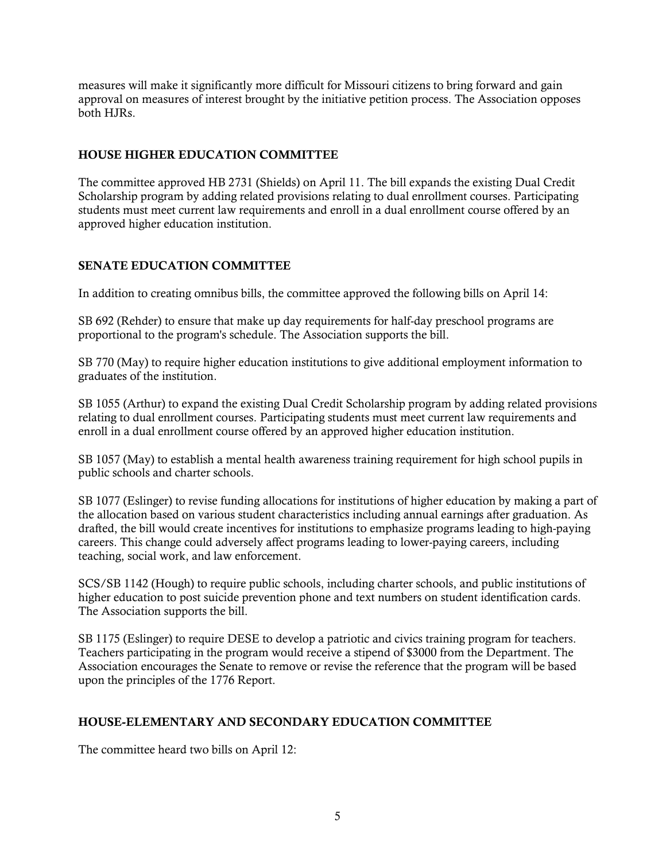measures will make it significantly more difficult for Missouri citizens to bring forward and gain approval on measures of interest brought by the initiative petition process. The Association opposes both HJRs.

## HOUSE HIGHER EDUCATION COMMITTEE

The committee approved HB 2731 (Shields) on April 11. The bill expands the existing Dual Credit Scholarship program by adding related provisions relating to dual enrollment courses. Participating students must meet current law requirements and enroll in a dual enrollment course offered by an approved higher education institution.

## SENATE EDUCATION COMMITTEE

In addition to creating omnibus bills, the committee approved the following bills on April 14:

SB 692 (Rehder) to ensure that make up day requirements for half-day preschool programs are proportional to the program's schedule. The Association supports the bill.

SB 770 (May) to require higher education institutions to give additional employment information to graduates of the institution.

SB 1055 (Arthur) to expand the existing Dual Credit Scholarship program by adding related provisions relating to dual enrollment courses. Participating students must meet current law requirements and enroll in a dual enrollment course offered by an approved higher education institution.

SB 1057 (May) to establish a mental health awareness training requirement for high school pupils in public schools and charter schools.

SB 1077 (Eslinger) to revise funding allocations for institutions of higher education by making a part of the allocation based on various student characteristics including annual earnings after graduation. As drafted, the bill would create incentives for institutions to emphasize programs leading to high-paying careers. This change could adversely affect programs leading to lower-paying careers, including teaching, social work, and law enforcement.

SCS/SB 1142 (Hough) to require public schools, including charter schools, and public institutions of higher education to post suicide prevention phone and text numbers on student identification cards. The Association supports the bill.

SB 1175 (Eslinger) to require DESE to develop a patriotic and civics training program for teachers. Teachers participating in the program would receive a stipend of \$3000 from the Department. The Association encourages the Senate to remove or revise the reference that the program will be based upon the principles of the 1776 Report.

## HOUSE-ELEMENTARY AND SECONDARY EDUCATION COMMITTEE

The committee heard two bills on April 12: